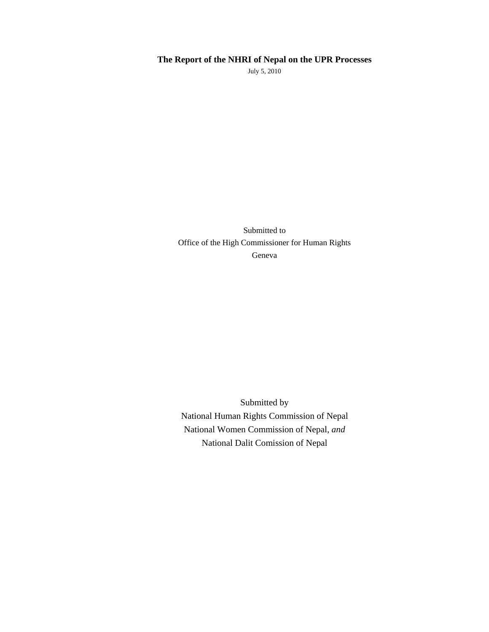# **The Report of the NHRI of Nepal on the UPR Processes**

July 5, 2010

Submitted to Office of the High Commissioner for Human Rights Geneva

Submitted by National Human Rights Commission of Nepal National Women Commission of Nepal, *and*  National Dalit Comission of Nepal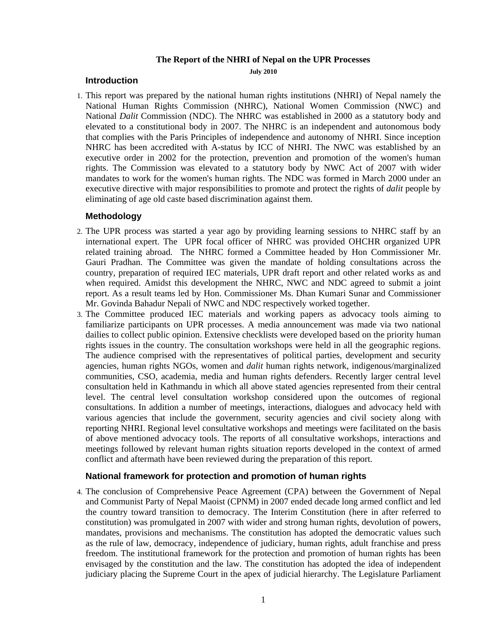#### **The Report of the NHRI of Nepal on the UPR Processes**

**July 2010** 

#### **Introduction**

1. This report was prepared by the national human rights institutions (NHRI) of Nepal namely the National Human Rights Commission (NHRC), National Women Commission (NWC) and National *Dalit* Commission (NDC). The NHRC was established in 2000 as a statutory body and elevated to a constitutional body in 2007. The NHRC is an independent and autonomous body that complies with the Paris Principles of independence and autonomy of NHRI. Since inception NHRC has been accredited with A-status by ICC of NHRI. The NWC was established by an executive order in 2002 for the protection, prevention and promotion of the women's human rights. The Commission was elevated to a statutory body by NWC Act of 2007 with wider mandates to work for the women's human rights. The NDC was formed in March 2000 under an executive directive with major responsibilities to promote and protect the rights of *dalit* people by eliminating of age old caste based discrimination against them.

### **Methodology**

- 2. The UPR process was started a year ago by providing learning sessions to NHRC staff by an international expert. The UPR focal officer of NHRC was provided OHCHR organized UPR related training abroad. The NHRC formed a Committee headed by Hon Commissioner Mr. Gauri Pradhan. The Committee was given the mandate of holding consultations across the country, preparation of required IEC materials, UPR draft report and other related works as and when required. Amidst this development the NHRC, NWC and NDC agreed to submit a joint report. As a result teams led by Hon. Commissioner Ms. Dhan Kumari Sunar and Commissioner Mr. Govinda Bahadur Nepali of NWC and NDC respectively worked together.
- 3. The Committee produced IEC materials and working papers as advocacy tools aiming to familiarize participants on UPR processes. A media announcement was made via two national dailies to collect public opinion. Extensive checklists were developed based on the priority human rights issues in the country. The consultation workshops were held in all the geographic regions. The audience comprised with the representatives of political parties, development and security agencies, human rights NGOs, women and *dalit* human rights network, indigenous/marginalized communities, CSO, academia, media and human rights defenders. Recently larger central level consultation held in Kathmandu in which all above stated agencies represented from their central level. The central level consultation workshop considered upon the outcomes of regional consultations. In addition a number of meetings, interactions, dialogues and advocacy held with various agencies that include the government, security agencies and civil society along with reporting NHRI. Regional level consultative workshops and meetings were facilitated on the basis of above mentioned advocacy tools. The reports of all consultative workshops, interactions and meetings followed by relevant human rights situation reports developed in the context of armed conflict and aftermath have been reviewed during the preparation of this report.

#### **National framework for protection and promotion of human rights**

4. The conclusion of Comprehensive Peace Agreement (CPA) between the Government of Nepal and Communist Party of Nepal Maoist (CPNM) in 2007 ended decade long armed conflict and led the country toward transition to democracy. The Interim Constitution (here in after referred to constitution) was promulgated in 2007 with wider and strong human rights, devolution of powers, mandates, provisions and mechanisms. The constitution has adopted the democratic values such as the rule of law, democracy, independence of judiciary, human rights, adult franchise and press freedom. The institutional framework for the protection and promotion of human rights has been envisaged by the constitution and the law. The constitution has adopted the idea of independent judiciary placing the Supreme Court in the apex of judicial hierarchy. The Legislature Parliament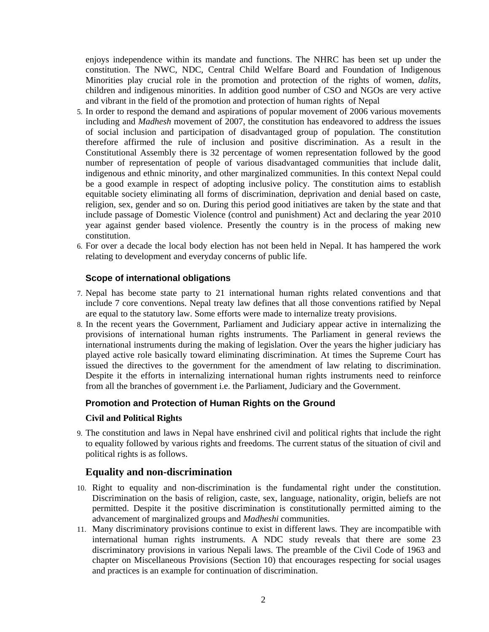enjoys independence within its mandate and functions. The NHRC has been set up under the constitution. The NWC, NDC, Central Child Welfare Board and Foundation of Indigenous Minorities play crucial role in the promotion and protection of the rights of women, *dalits,* children and indigenous minorities. In addition good number of CSO and NGOs are very active and vibrant in the field of the promotion and protection of human rights of Nepal

- 5. In order to respond the demand and aspirations of popular movement of 2006 various movements including and *Madhesh* movement of 2007, the constitution has endeavored to address the issues of social inclusion and participation of disadvantaged group of population. The constitution therefore affirmed the rule of inclusion and positive discrimination. As a result in the Constitutional Assembly there is 32 percentage of women representation followed by the good number of representation of people of various disadvantaged communities that include dalit, indigenous and ethnic minority, and other marginalized communities. In this context Nepal could be a good example in respect of adopting inclusive policy. The constitution aims to establish equitable society eliminating all forms of discrimination, deprivation and denial based on caste, religion, sex, gender and so on. During this period good initiatives are taken by the state and that include passage of Domestic Violence (control and punishment) Act and declaring the year 2010 year against gender based violence. Presently the country is in the process of making new constitution.
- 6. For over a decade the local body election has not been held in Nepal. It has hampered the work relating to development and everyday concerns of public life.

#### **Scope of international obligations**

- 7. Nepal has become state party to 21 international human rights related conventions and that include 7 core conventions. Nepal treaty law defines that all those conventions ratified by Nepal are equal to the statutory law. Some efforts were made to internalize treaty provisions.
- 8. In the recent years the Government, Parliament and Judiciary appear active in internalizing the provisions of international human rights instruments. The Parliament in general reviews the international instruments during the making of legislation. Over the years the higher judiciary has played active role basically toward eliminating discrimination. At times the Supreme Court has issued the directives to the government for the amendment of law relating to discrimination. Despite it the efforts in internalizing international human rights instruments need to reinforce from all the branches of government i.e. the Parliament, Judiciary and the Government.

## **Promotion and Protection of Human Rights on the Ground**

#### **Civil and Political Rights**

9. The constitution and laws in Nepal have enshrined civil and political rights that include the right to equality followed by various rights and freedoms. The current status of the situation of civil and political rights is as follows.

## **Equality and non-discrimination**

- 10. Right to equality and non-discrimination is the fundamental right under the constitution. Discrimination on the basis of religion, caste, sex, language, nationality, origin, beliefs are not permitted. Despite it the positive discrimination is constitutionally permitted aiming to the advancement of marginalized groups and *Madheshi* communities.
- 11. Many discriminatory provisions continue to exist in different laws. They are incompatible with international human rights instruments. A NDC study reveals that there are some 23 discriminatory provisions in various Nepali laws. The preamble of the Civil Code of 1963 and chapter on Miscellaneous Provisions (Section 10) that encourages respecting for social usages and practices is an example for continuation of discrimination.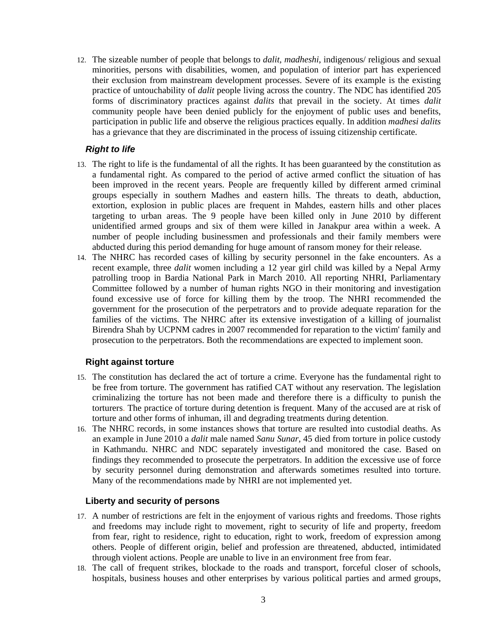12. The sizeable number of people that belongs to *dalit, madheshi*, indigenous/ religious and sexual minorities, persons with disabilities, women, and population of interior part has experienced their exclusion from mainstream development processes. Severe of its example is the existing practice of untouchability of *dalit* people living across the country. The NDC has identified 205 forms of discriminatory practices against *dalits* that prevail in the society. At times *dalit* community people have been denied publicly for the enjoyment of public uses and benefits, participation in public life and observe the religious practices equally. In addition *madhesi dalits* has a grievance that they are discriminated in the process of issuing citizenship certificate.

## *Right to life*

- 13. The right to life is the fundamental of all the rights. It has been guaranteed by the constitution as a fundamental right. As compared to the period of active armed conflict the situation of has been improved in the recent years. People are frequently killed by different armed criminal groups especially in southern Madhes and eastern hills. The threats to death, abduction, extortion, explosion in public places are frequent in Mahdes, eastern hills and other places targeting to urban areas. The 9 people have been killed only in June 2010 by different unidentified armed groups and six of them were killed in Janakpur area within a week. A number of people including businessmen and professionals and their family members were abducted during this period demanding for huge amount of ransom money for their release.
- 14. The NHRC has recorded cases of killing by security personnel in the fake encounters. As a recent example, three *dalit* women including a 12 year girl child was killed by a Nepal Army patrolling troop in Bardia National Park in March 2010. All reporting NHRI, Parliamentary Committee followed by a number of human rights NGO in their monitoring and investigation found excessive use of force for killing them by the troop. The NHRI recommended the government for the prosecution of the perpetrators and to provide adequate reparation for the families of the victims. The NHRC after its extensive investigation of a killing of journalist Birendra Shah by UCPNM cadres in 2007 recommended for reparation to the victim' family and prosecution to the perpetrators. Both the recommendations are expected to implement soon.

## **Right against torture**

- 15. The constitution has declared the act of torture a crime. Everyone has the fundamental right to be free from torture. The government has ratified CAT without any reservation. The legislation criminalizing the torture has not been made and therefore there is a difficulty to punish the torturers. The practice of torture during detention is frequent. Many of the accused are at risk of torture and other forms of inhuman, ill and degrading treatments during detention.
- 16. The NHRC records, in some instances shows that torture are resulted into custodial deaths. As an example in June 2010 a *dalit* male named *Sanu Sunar,* 45 died from torture in police custody in Kathmandu. NHRC and NDC separately investigated and monitored the case. Based on findings they recommended to prosecute the perpetrators. In addition the excessive use of force by security personnel during demonstration and afterwards sometimes resulted into torture. Many of the recommendations made by NHRI are not implemented yet.

## **Liberty and security of persons**

- 17. A number of restrictions are felt in the enjoyment of various rights and freedoms. Those rights and freedoms may include right to movement, right to security of life and property, freedom from fear, right to residence, right to education, right to work, freedom of expression among others. People of different origin, belief and profession are threatened, abducted, intimidated through violent actions. People are unable to live in an environment free from fear.
- 18. The call of frequent strikes, blockade to the roads and transport, forceful closer of schools, hospitals, business houses and other enterprises by various political parties and armed groups,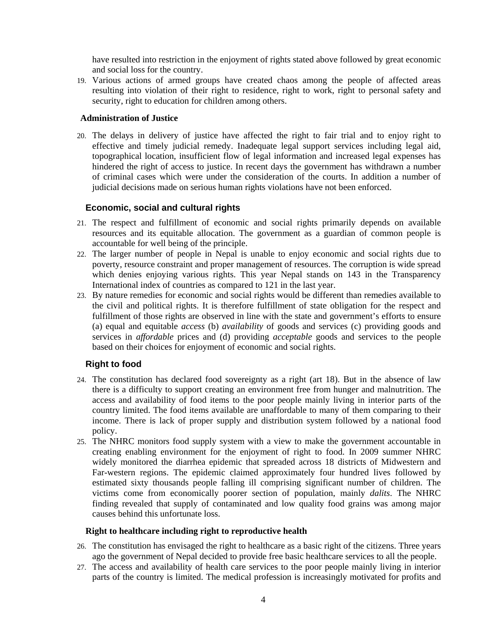have resulted into restriction in the enjoyment of rights stated above followed by great economic and social loss for the country.

19. Various actions of armed groups have created chaos among the people of affected areas resulting into violation of their right to residence, right to work, right to personal safety and security, right to education for children among others.

#### **Administration of Justice**

20. The delays in delivery of justice have affected the right to fair trial and to enjoy right to effective and timely judicial remedy. Inadequate legal support services including legal aid, topographical location, insufficient flow of legal information and increased legal expenses has hindered the right of access to justice. In recent days the government has withdrawn a number of criminal cases which were under the consideration of the courts. In addition a number of judicial decisions made on serious human rights violations have not been enforced.

## **Economic, social and cultural rights**

- 21. The respect and fulfillment of economic and social rights primarily depends on available resources and its equitable allocation. The government as a guardian of common people is accountable for well being of the principle.
- 22. The larger number of people in Nepal is unable to enjoy economic and social rights due to poverty, resource constraint and proper management of resources. The corruption is wide spread which denies enjoying various rights. This year Nepal stands on 143 in the Transparency International index of countries as compared to 121 in the last year.
- 23. By nature remedies for economic and social rights would be different than remedies available to the civil and political rights. It is therefore fulfillment of state obligation for the respect and fulfillment of those rights are observed in line with the state and government's efforts to ensure (a) equal and equitable *access* (b) *availability* of goods and services (c) providing goods and services in *affordable* prices and (d) providing *acceptable* goods and services to the people based on their choices for enjoyment of economic and social rights.

# **Right to food**

- 24. The constitution has declared food sovereignty as a right (art 18). But in the absence of law there is a difficulty to support creating an environment free from hunger and malnutrition. The access and availability of food items to the poor people mainly living in interior parts of the country limited. The food items available are unaffordable to many of them comparing to their income. There is lack of proper supply and distribution system followed by a national food policy.
- 25. The NHRC monitors food supply system with a view to make the government accountable in creating enabling environment for the enjoyment of right to food. In 2009 summer NHRC widely monitored the diarrhea epidemic that spreaded across 18 districts of Midwestern and Far-western regions. The epidemic claimed approximately four hundred lives followed by estimated sixty thousands people falling ill comprising significant number of children. The victims come from economically poorer section of population, mainly *dalits*. The NHRC finding revealed that supply of contaminated and low quality food grains was among major causes behind this unfortunate loss.

## **Right to healthcare including right to reproductive health**

- 26. The constitution has envisaged the right to healthcare as a basic right of the citizens. Three years ago the government of Nepal decided to provide free basic healthcare services to all the people.
- 27. The access and availability of health care services to the poor people mainly living in interior parts of the country is limited. The medical profession is increasingly motivated for profits and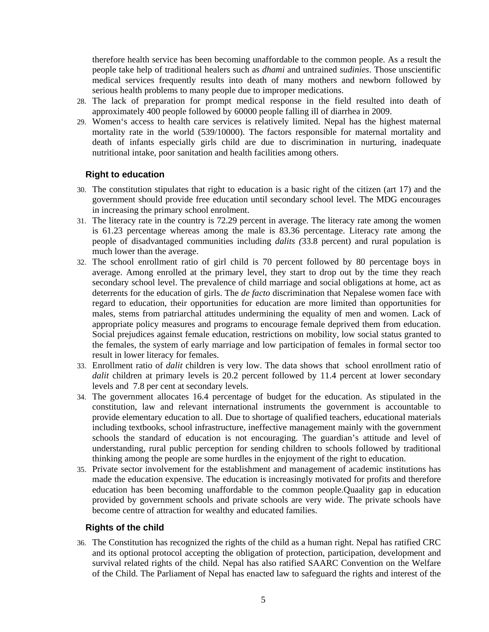therefore health service has been becoming unaffordable to the common people. As a result the people take help of traditional healers such as *dhami* and untrained *sudinies*. Those unscientific medical services frequently results into death of many mothers and newborn followed by serious health problems to many people due to improper medications.

- 28. The lack of preparation for prompt medical response in the field resulted into death of approximately 400 people followed by 60000 people falling ill of diarrhea in 2009.
- 29. Women's access to health care services is relatively limited. Nepal has the highest maternal mortality rate in the world (539/10000). The factors responsible for maternal mortality and death of infants especially girls child are due to discrimination in nurturing, inadequate nutritional intake, poor sanitation and health facilities among others.

## **Right to education**

- 30. The constitution stipulates that right to education is a basic right of the citizen (art 17) and the government should provide free education until secondary school level. The MDG encourages in increasing the primary school enrolment.
- 31. The literacy rate in the country is 72.29 percent in average. The literacy rate among the women is 61.23 percentage whereas among the male is 83.36 percentage. Literacy rate among the people of disadvantaged communities including *dalits (*33.8 percent) and rural population is much lower than the average.
- 32. The school enrollment ratio of girl child is 70 percent followed by 80 percentage boys in average. Among enrolled at the primary level, they start to drop out by the time they reach secondary school level. The prevalence of child marriage and social obligations at home, act as deterrents for the education of girls. The *de facto* discrimination that Nepalese women face with regard to education, their opportunities for education are more limited than opportunities for males, stems from patriarchal attitudes undermining the equality of men and women. Lack of appropriate policy measures and programs to encourage female deprived them from education. Social prejudices against female education, restrictions on mobility, low social status granted to the females, the system of early marriage and low participation of females in formal sector too result in lower literacy for females.
- 33. Enrollment ratio of *dalit* children is very low. The data shows that school enrollment ratio of *dalit* children at primary levels is 20.2 percent followed by 11.4 percent at lower secondary levels and 7.8 per cent at secondary levels.
- 34. The government allocates 16.4 percentage of budget for the education. As stipulated in the constitution, law and relevant international instruments the government is accountable to provide elementary education to all. Due to shortage of qualified teachers, educational materials including textbooks, school infrastructure, ineffective management mainly with the government schools the standard of education is not encouraging. The guardian's attitude and level of understanding, rural public perception for sending children to schools followed by traditional thinking among the people are some hurdles in the enjoyment of the right to education.
- 35. Private sector involvement for the establishment and management of academic institutions has made the education expensive. The education is increasingly motivated for profits and therefore education has been becoming unaffordable to the common people.Quaality gap in education provided by government schools and private schools are very wide. The private schools have become centre of attraction for wealthy and educated families.

## **Rights of the child**

36. The Constitution has recognized the rights of the child as a human right. Nepal has ratified CRC and its optional protocol accepting the obligation of protection, participation, development and survival related rights of the child. Nepal has also ratified SAARC Convention on the Welfare of the Child. The Parliament of Nepal has enacted law to safeguard the rights and interest of the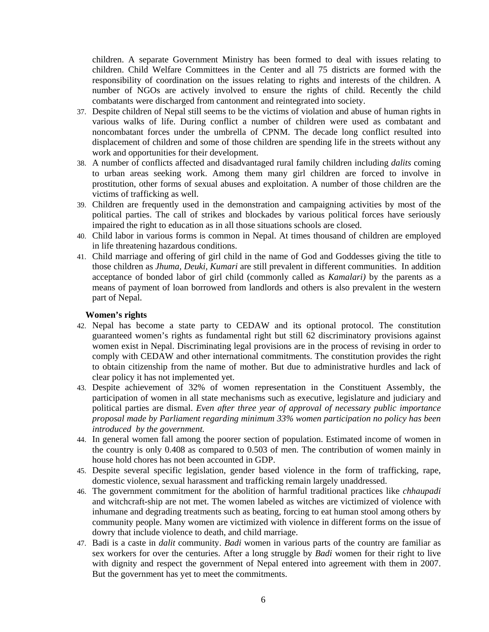children. A separate Government Ministry has been formed to deal with issues relating to children. Child Welfare Committees in the Center and all 75 districts are formed with the responsibility of coordination on the issues relating to rights and interests of the children. A number of NGOs are actively involved to ensure the rights of child. Recently the child combatants were discharged from cantonment and reintegrated into society.

- 37. Despite children of Nepal still seems to be the victims of violation and abuse of human rights in various walks of life. During conflict a number of children were used as combatant and noncombatant forces under the umbrella of CPNM. The decade long conflict resulted into displacement of children and some of those children are spending life in the streets without any work and opportunities for their development.
- 38. A number of conflicts affected and disadvantaged rural family children including *dalits* coming to urban areas seeking work. Among them many girl children are forced to involve in prostitution, other forms of sexual abuses and exploitation. A number of those children are the victims of trafficking as well.
- 39. Children are frequently used in the demonstration and campaigning activities by most of the political parties. The call of strikes and blockades by various political forces have seriously impaired the right to education as in all those situations schools are closed.
- 40. Child labor in various forms is common in Nepal. At times thousand of children are employed in life threatening hazardous conditions.
- 41. Child marriage and offering of girl child in the name of God and Goddesses giving the title to those children as *Jhuma, Deuki, Kumari* are still prevalent in different communities. In addition acceptance of bonded labor of girl child (commonly called as *Kamalari)* by the parents as a means of payment of loan borrowed from landlords and others is also prevalent in the western part of Nepal.

#### **Women's rights**

- 42. Nepal has become a state party to CEDAW and its optional protocol. The constitution guaranteed women's rights as fundamental right but still 62 discriminatory provisions against women exist in Nepal. Discriminating legal provisions are in the process of revising in order to comply with CEDAW and other international commitments. The constitution provides the right to obtain citizenship from the name of mother. But due to administrative hurdles and lack of clear policy it has not implemented yet.
- 43. Despite achievement of 32% of women representation in the Constituent Assembly, the participation of women in all state mechanisms such as executive, legislature and judiciary and political parties are dismal. *Even after three year of approval of necessary public importance proposal made by Parliament regarding minimum 33% women participation no policy has been introduced by the government.*
- 44. In general women fall among the poorer section of population. Estimated income of women in the country is only 0.408 as compared to 0.503 of men. The contribution of women mainly in house hold chores has not been accounted in GDP.
- 45. Despite several specific legislation, gender based violence in the form of trafficking, rape, domestic violence, sexual harassment and trafficking remain largely unaddressed.
- 46. The government commitment for the abolition of harmful traditional practices like *chhaupadi* and witchcraft-ship are not met. The women labeled as witches are victimized of violence with inhumane and degrading treatments such as beating, forcing to eat human stool among others by community people. Many women are victimized with violence in different forms on the issue of dowry that include violence to death, and child marriage.
- 47. Badi is a caste in *dalit* community. *Badi* women in various parts of the country are familiar as sex workers for over the centuries. After a long struggle by *Badi* women for their right to live with dignity and respect the government of Nepal entered into agreement with them in 2007. But the government has yet to meet the commitments.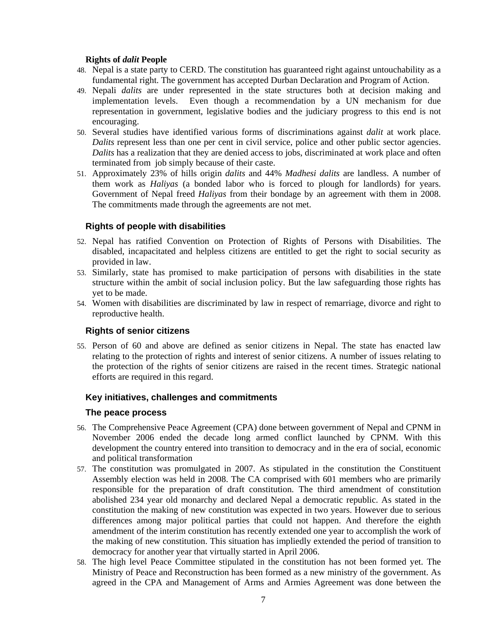### **Rights of** *dalit* **People**

- 48. Nepal is a state party to CERD. The constitution has guaranteed right against untouchability as a fundamental right. The government has accepted Durban Declaration and Program of Action.
- 49. Nepali *dalits* are under represented in the state structures both at decision making and implementation levels. Even though a recommendation by a UN mechanism for due representation in government, legislative bodies and the judiciary progress to this end is not encouraging.
- 50. Several studies have identified various forms of discriminations against *dalit* at work place. *Dalits* represent less than one per cent in civil service, police and other public sector agencies. *Dalits* has a realization that they are denied access to jobs, discriminated at work place and often terminated from job simply because of their caste.
- 51. Approximately 23% of hills origin *dalits* and 44% *Madhesi dalits* are landless. A number of them work as *Haliyas* (a bonded labor who is forced to plough for landlords) for years. Government of Nepal freed *Haliyas* from their bondage by an agreement with them in 2008. The commitments made through the agreements are not met.

# **Rights of people with disabilities**

- 52. Nepal has ratified Convention on Protection of Rights of Persons with Disabilities. The disabled, incapacitated and helpless citizens are entitled to get the right to social security as provided in law.
- 53. Similarly, state has promised to make participation of persons with disabilities in the state structure within the ambit of social inclusion policy. But the law safeguarding those rights has yet to be made.
- 54. Women with disabilities are discriminated by law in respect of remarriage, divorce and right to reproductive health.

## **Rights of senior citizens**

55. Person of 60 and above are defined as senior citizens in Nepal. The state has enacted law relating to the protection of rights and interest of senior citizens. A number of issues relating to the protection of the rights of senior citizens are raised in the recent times. Strategic national efforts are required in this regard.

## **Key initiatives, challenges and commitments**

## **The peace process**

- 56. The Comprehensive Peace Agreement (CPA) done between government of Nepal and CPNM in November 2006 ended the decade long armed conflict launched by CPNM. With this development the country entered into transition to democracy and in the era of social, economic and political transformation
- 57. The constitution was promulgated in 2007. As stipulated in the constitution the Constituent Assembly election was held in 2008. The CA comprised with 601 members who are primarily responsible for the preparation of draft constitution. The third amendment of constitution abolished 234 year old monarchy and declared Nepal a democratic republic. As stated in the constitution the making of new constitution was expected in two years. However due to serious differences among major political parties that could not happen. And therefore the eighth amendment of the interim constitution has recently extended one year to accomplish the work of the making of new constitution. This situation has impliedly extended the period of transition to democracy for another year that virtually started in April 2006.
- 58. The high level Peace Committee stipulated in the constitution has not been formed yet. The Ministry of Peace and Reconstruction has been formed as a new ministry of the government. As agreed in the CPA and Management of Arms and Armies Agreement was done between the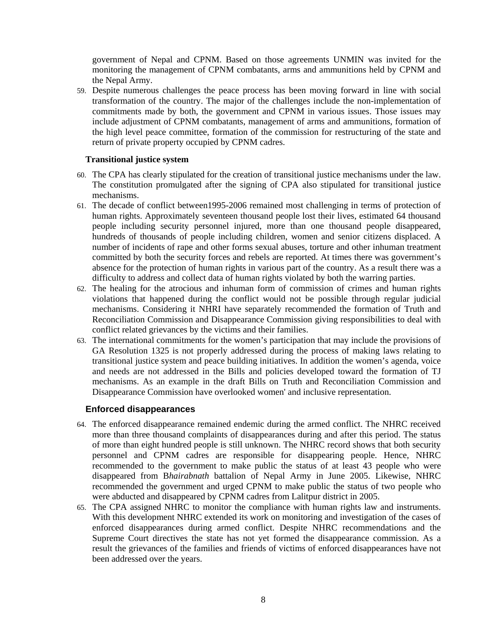government of Nepal and CPNM. Based on those agreements UNMIN was invited for the monitoring the management of CPNM combatants, arms and ammunitions held by CPNM and the Nepal Army.

59. Despite numerous challenges the peace process has been moving forward in line with social transformation of the country. The major of the challenges include the non-implementation of commitments made by both, the government and CPNM in various issues. Those issues may include adjustment of CPNM combatants, management of arms and ammunitions, formation of the high level peace committee, formation of the commission for restructuring of the state and return of private property occupied by CPNM cadres.

#### **Transitional justice system**

- 60. The CPA has clearly stipulated for the creation of transitional justice mechanisms under the law. The constitution promulgated after the signing of CPA also stipulated for transitional justice mechanisms.
- 61. The decade of conflict between1995-2006 remained most challenging in terms of protection of human rights. Approximately seventeen thousand people lost their lives, estimated 64 thousand people including security personnel injured, more than one thousand people disappeared, hundreds of thousands of people including children, women and senior citizens displaced. A number of incidents of rape and other forms sexual abuses, torture and other inhuman treatment committed by both the security forces and rebels are reported. At times there was government's absence for the protection of human rights in various part of the country. As a result there was a difficulty to address and collect data of human rights violated by both the warring parties.
- 62. The healing for the atrocious and inhuman form of commission of crimes and human rights violations that happened during the conflict would not be possible through regular judicial mechanisms. Considering it NHRI have separately recommended the formation of Truth and Reconciliation Commission and Disappearance Commission giving responsibilities to deal with conflict related grievances by the victims and their families.
- 63. The international commitments for the women's participation that may include the provisions of GA Resolution 1325 is not properly addressed during the process of making laws relating to transitional justice system and peace building initiatives. In addition the women's agenda, voice and needs are not addressed in the Bills and policies developed toward the formation of TJ mechanisms. As an example in the draft Bills on Truth and Reconciliation Commission and Disappearance Commission have overlooked women' and inclusive representation.

#### **Enforced disappearances**

- 64. The enforced disappearance remained endemic during the armed conflict. The NHRC received more than three thousand complaints of disappearances during and after this period. The status of more than eight hundred people is still unknown. The NHRC record shows that both security personnel and CPNM cadres are responsible for disappearing people. Hence, NHRC recommended to the government to make public the status of at least 43 people who were disappeared from B*hairabnath* battalion of Nepal Army in June 2005. Likewise, NHRC recommended the government and urged CPNM to make public the status of two people who were abducted and disappeared by CPNM cadres from Lalitpur district in 2005.
- 65. The CPA assigned NHRC to monitor the compliance with human rights law and instruments. With this development NHRC extended its work on monitoring and investigation of the cases of enforced disappearances during armed conflict. Despite NHRC recommendations and the Supreme Court directives the state has not yet formed the disappearance commission. As a result the grievances of the families and friends of victims of enforced disappearances have not been addressed over the years.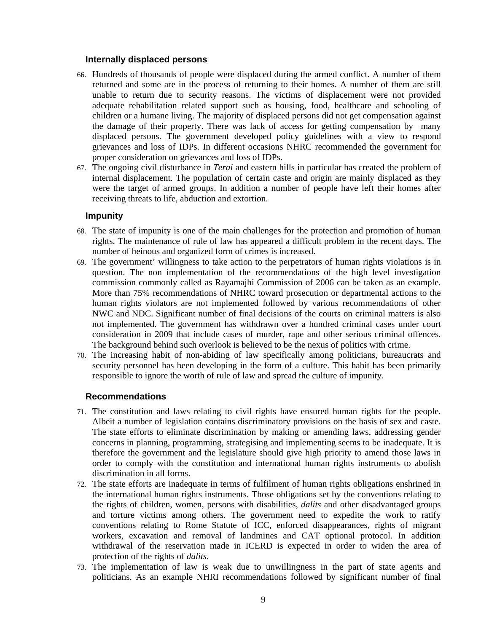#### **Internally displaced persons**

- 66. Hundreds of thousands of people were displaced during the armed conflict. A number of them returned and some are in the process of returning to their homes. A number of them are still unable to return due to security reasons. The victims of displacement were not provided adequate rehabilitation related support such as housing, food, healthcare and schooling of children or a humane living. The majority of displaced persons did not get compensation against the damage of their property. There was lack of access for getting compensation by many displaced persons. The government developed policy guidelines with a view to respond grievances and loss of IDPs. In different occasions NHRC recommended the government for proper consideration on grievances and loss of IDPs.
- 67. The ongoing civil disturbance in *Terai* and eastern hills in particular has created the problem of internal displacement. The population of certain caste and origin are mainly displaced as they were the target of armed groups. In addition a number of people have left their homes after receiving threats to life, abduction and extortion.

#### **Impunity**

- 68. The state of impunity is one of the main challenges for the protection and promotion of human rights. The maintenance of rule of law has appeared a difficult problem in the recent days. The number of heinous and organized form of crimes is increased.
- 69. The government' willingness to take action to the perpetrators of human rights violations is in question. The non implementation of the recommendations of the high level investigation commission commonly called as Rayamajhi Commission of 2006 can be taken as an example. More than 75% recommendations of NHRC toward prosecution or departmental actions to the human rights violators are not implemented followed by various recommendations of other NWC and NDC. Significant number of final decisions of the courts on criminal matters is also not implemented. The government has withdrawn over a hundred criminal cases under court consideration in 2009 that include cases of murder, rape and other serious criminal offences. The background behind such overlook is believed to be the nexus of politics with crime.
- 70. The increasing habit of non-abiding of law specifically among politicians, bureaucrats and security personnel has been developing in the form of a culture. This habit has been primarily responsible to ignore the worth of rule of law and spread the culture of impunity.

#### **Recommendations**

- 71. The constitution and laws relating to civil rights have ensured human rights for the people. Albeit a number of legislation contains discriminatory provisions on the basis of sex and caste. The state efforts to eliminate discrimination by making or amending laws, addressing gender concerns in planning, programming, strategising and implementing seems to be inadequate. It is therefore the government and the legislature should give high priority to amend those laws in order to comply with the constitution and international human rights instruments to abolish discrimination in all forms.
- 72. The state efforts are inadequate in terms of fulfilment of human rights obligations enshrined in the international human rights instruments. Those obligations set by the conventions relating to the rights of children, women, persons with disabilities, *dalits* and other disadvantaged groups and torture victims among others. The government need to expedite the work to ratify conventions relating to Rome Statute of ICC, enforced disappearances, rights of migrant workers, excavation and removal of landmines and CAT optional protocol. In addition withdrawal of the reservation made in ICERD is expected in order to widen the area of protection of the rights of *dalits*.
- 73. The implementation of law is weak due to unwillingness in the part of state agents and politicians. As an example NHRI recommendations followed by significant number of final